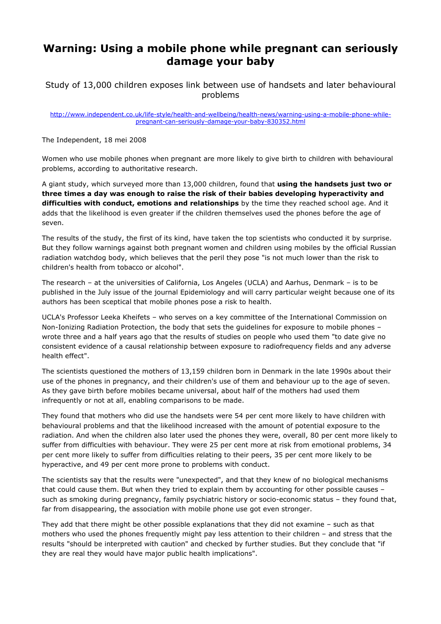## Warning: Using a mobile phone while pregnant can seriously damage your baby

Study of 13,000 children exposes link between use of handsets and later behavioural problems

http://www.independent.co.uk/life-style/health-and-wellbeing/health-news/warning-using-a-mobile-phone-whilepregnant-can-seriously-damage-your-baby-830352.html

The Independent, 18 mei 2008

Women who use mobile phones when pregnant are more likely to give birth to children with behavioural problems, according to authoritative research.

A giant study, which surveyed more than 13,000 children, found that using the handsets just two or three times a day was enough to raise the risk of their babies developing hyperactivity and difficulties with conduct, emotions and relationships by the time they reached school age. And it adds that the likelihood is even greater if the children themselves used the phones before the age of seven.

The results of the study, the first of its kind, have taken the top scientists who conducted it by surprise. But they follow warnings against both pregnant women and children using mobiles by the official Russian radiation watchdog body, which believes that the peril they pose "is not much lower than the risk to children's health from tobacco or alcohol".

The research – at the universities of California, Los Angeles (UCLA) and Aarhus, Denmark – is to be published in the July issue of the journal Epidemiology and will carry particular weight because one of its authors has been sceptical that mobile phones pose a risk to health.

UCLA's Professor Leeka Kheifets – who serves on a key committee of the International Commission on Non-Ionizing Radiation Protection, the body that sets the guidelines for exposure to mobile phones – wrote three and a half years ago that the results of studies on people who used them "to date give no consistent evidence of a causal relationship between exposure to radiofrequency fields and any adverse health effect".

The scientists questioned the mothers of 13,159 children born in Denmark in the late 1990s about their use of the phones in pregnancy, and their children's use of them and behaviour up to the age of seven. As they gave birth before mobiles became universal, about half of the mothers had used them infrequently or not at all, enabling comparisons to be made.

They found that mothers who did use the handsets were 54 per cent more likely to have children with behavioural problems and that the likelihood increased with the amount of potential exposure to the radiation. And when the children also later used the phones they were, overall, 80 per cent more likely to suffer from difficulties with behaviour. They were 25 per cent more at risk from emotional problems, 34 per cent more likely to suffer from difficulties relating to their peers, 35 per cent more likely to be hyperactive, and 49 per cent more prone to problems with conduct.

The scientists say that the results were "unexpected", and that they knew of no biological mechanisms that could cause them. But when they tried to explain them by accounting for other possible causes – such as smoking during pregnancy, family psychiatric history or socio-economic status – they found that, far from disappearing, the association with mobile phone use got even stronger.

They add that there might be other possible explanations that they did not examine – such as that mothers who used the phones frequently might pay less attention to their children – and stress that the results "should be interpreted with caution" and checked by further studies. But they conclude that "if they are real they would have major public health implications".